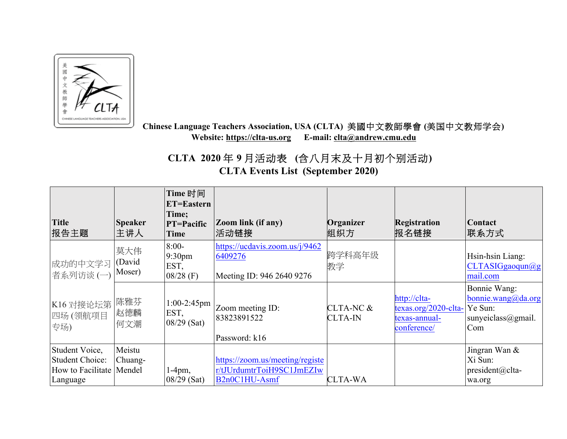

 **Chinese Language Teachers Association, USA (CLTA)** 美國中文教師學會 **(**美国中文教师学会**) Website: https://clta-us.org E-mail: clta@andrew.cmu.edu**

 **CLTA 2020** 年 **9** 月活动表 **(**含八月末及十月初个别活动**) CLTA Events List (September 2020)** 

| <b>Title</b><br>报告主题                                                               | <b>Speaker</b><br>主讲人   | Time 时间<br>ET=Eastern<br>Time;<br><b>PT=Pacific</b><br>Time | <b>Zoom link (if any)</b><br> 活动链接                                                                      | Organizer<br>组织方            | <b>Registration</b><br>报名链接                                                     | <b>Contact</b><br> 联系方式                                         |
|------------------------------------------------------------------------------------|-------------------------|-------------------------------------------------------------|---------------------------------------------------------------------------------------------------------|-----------------------------|---------------------------------------------------------------------------------|-----------------------------------------------------------------|
| 成功的中文学习<br>者系列访谈(一)                                                                | 莫大伟<br>(David<br>Moser) | $8:00-$<br>9:30 <sub>pm</sub><br>EST,<br>$08/28$ (F)        | https://ucdavis.zoom.us/j/9462<br>6409276<br>Meeting ID: 946 2640 9276                                  | 跨学科高年级<br>教学                |                                                                                 | Hsin-hsin Liang:<br>CLTASIGgaoqun@g<br>mail.com                 |
| K16 对接论坛第 陈雅芬<br>四场 (领航项目<br>专场)                                                   | 赵德麟<br>何文潮              | $1:00-2:45$ pm<br>EST,<br>$08/29$ (Sat)                     | Zoom meeting ID:<br>83823891522<br>Password: k16                                                        | CLTA-NC &<br><b>CLTA-IN</b> | http://clta-<br>$textas.org/2020-elta-$ Ye Sun:<br>texas-annual-<br>conference/ | Bonnie Wang:<br>bonnie.wang@da.org<br>sunyeiclass@gmail.<br>Com |
| Student Voice,<br><b>Student Choice:</b><br>How to Facilitate   Mendel<br>Language | Meistu<br>Chuang-       | $1-4$ pm,<br>$08/29$ (Sat)                                  | https://zoom.us/meeting/registe<br>r/tJUrdumtrToiH9SC1JmEZIw<br>B <sub>2n0</sub> C <sub>1</sub> HU-Asmf | <b>CLTA-WA</b>              |                                                                                 | Jingran Wan &<br>Xi Sun:<br>$president@clta-$<br>wa.org         |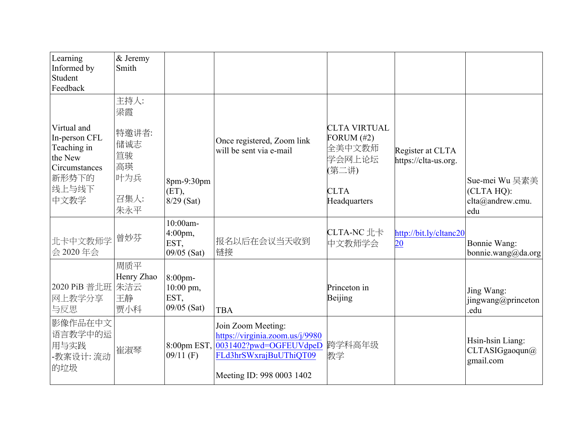| Learning<br>Informed by<br>Student<br>Feedback                                                    | & Jeremy<br>Smith                                            |                                                       |                                                                                                              |                                                                                                  |                                          |                                                         |
|---------------------------------------------------------------------------------------------------|--------------------------------------------------------------|-------------------------------------------------------|--------------------------------------------------------------------------------------------------------------|--------------------------------------------------------------------------------------------------|------------------------------------------|---------------------------------------------------------|
| Virtual and<br>In-person CFL<br>Teaching in<br>the New<br>Circumstances<br>新形势下的<br>线上与线下<br>中文教学 | 主持人:<br>梁霞<br>特邀讲者:<br>储诚志<br>笪骏<br>高瑛<br>叶为兵<br>召集人:<br>朱永平 | 8pm-9:30pm<br>$(ET)$ ,<br>$8/29$ (Sat)                | Once registered, Zoom link<br>will be sent via e-mail                                                        | <b>CLTA VIRTUAL</b><br>FORUM $(\#2)$<br>全美中文教师<br>学会网上论坛<br>(第二讲)<br><b>CLTA</b><br>Headquarters | Register at CLTA<br>https://clta-us.org. | Sue-mei Wu 吴素美<br>(CLTA HQ):<br>clta@andrew.cmu.<br>edu |
| 北卡中文教师学 曾妙芬<br>会 2020年会                                                                           |                                                              | 10:00am-<br>$4:00 \text{pm}$ ,<br>EST,<br>09/05 (Sat) | 报名以后在会议当天收到<br>链接                                                                                            | CLTA-NC 北卡<br>中文教师学会                                                                             | http://bit.ly/cltanc20<br>20             | Bonnie Wang:<br>bonnie.wang@da.org                      |
| 2020 PiB 普北班 朱洁云<br>网上教学分享<br>与反思                                                                 | 周质平<br>Henry Zhao<br>王静<br>贾小科                               | 8:00pm-<br>10:00 pm,<br>EST,<br>09/05 (Sat)           | <b>TBA</b>                                                                                                   | Princeton in<br>Beijing                                                                          |                                          | Jing Wang:<br>jingwang@princeton<br>.edu                |
| 影像作品在中文<br>语言教学中的运<br>用与实践<br>教案设计: 流动<br>的垃圾                                                     | 崔淑琴                                                          | $09/11$ (F)                                           | Join Zoom Meeting:<br>https://virginia.zoom.us/j/9980<br>FLd3hrSWxrajBuUThiQT09<br>Meeting ID: 998 0003 1402 | 教学                                                                                               |                                          | Hsin-hsin Liang:<br>CLTASIGgaoqun@<br>gmail.com         |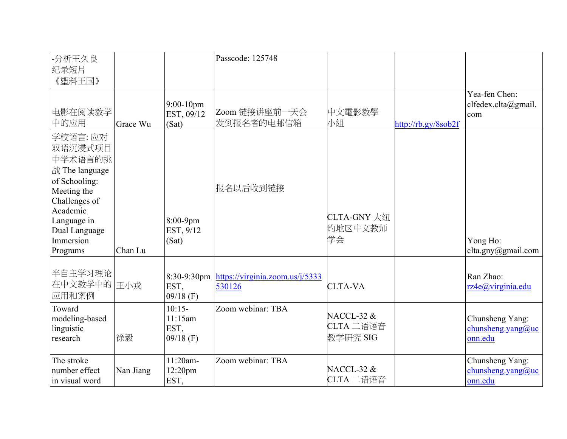| -分析王久良<br>纪录短片<br>《塑料王国》                                                                                                                                               |           |                                            | Passcode: 125748                          |                                                |                     |                                                 |
|------------------------------------------------------------------------------------------------------------------------------------------------------------------------|-----------|--------------------------------------------|-------------------------------------------|------------------------------------------------|---------------------|-------------------------------------------------|
| 电影在阅读教学<br>中的应用                                                                                                                                                        | Grace Wu  | 9:00-10pm<br>EST, 09/12<br>(Sat)           | Zoom 链接讲座前一天会<br>发到报名者的电邮信箱               | 中文電影教學<br>小組                                   | http://rb.gy/8sob2f | Yea-fen Chen:<br>clfedex.clta@gmail.<br>com     |
| 学校语言: 应对<br>双语沉浸式项目<br>中学术语言的挑<br>战 The language<br>of Schooling:<br>Meeting the<br>Challenges of<br>Academic<br>Language in<br>Dual Language<br>Immersion<br>Programs | Chan Lu   | 8:00-9pm<br>EST, 9/12<br>(Sat)             | 报名以后收到链接                                  | CLTA-GNY 大纽<br>约地区中文教师<br>学会                   |                     | Yong Ho:<br>clta.gny@gmail.com                  |
| 半自主学习理论<br>在中文教学中的 王小戎<br>应用和案例                                                                                                                                        |           | $8:30-9:30$ pm<br>EST,<br>$09/18$ (F)      | https://virginia.zoom.us/j/5333<br>530126 | <b>CLTA-VA</b>                                 |                     | Ran Zhao:<br>rz4e@virginia.edu                  |
| Toward<br>modeling-based<br>linguistic<br>research                                                                                                                     | 徐毅        | $10:15-$<br>11:15am<br>EST,<br>$09/18$ (F) | Zoom webinar: TBA                         | <b>NACCL-32 &amp;</b><br>CLTA 二语语音<br>教学研究 SIG |                     | Chunsheng Yang:<br>chunsheng.yang@uc<br>onn.edu |
| The stroke<br>number effect<br>in visual word                                                                                                                          | Nan Jiang | 11:20am-<br>12:20pm<br>EST,                | Zoom webinar: TBA                         | <b>NACCL-32 &amp;</b><br>CLTA 二语语音             |                     | Chunsheng Yang:<br>chunsheng.yang@uc<br>onn.edu |